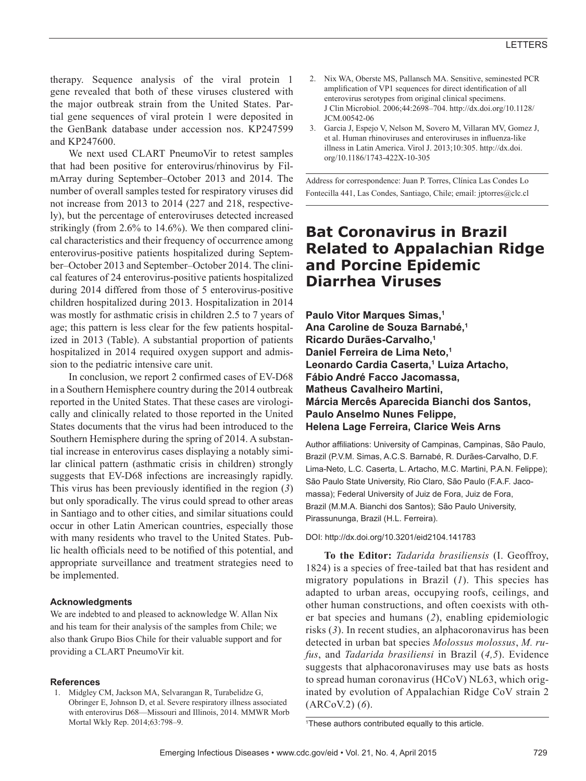therapy. Sequence analysis of the viral protein 1 gene revealed that both of these viruses clustered with the major outbreak strain from the United States. Partial gene sequences of viral protein 1 were deposited in the GenBank database under accession nos. KP247599 and KP247600.

We next used CLART PneumoVir to retest samples that had been positive for enterovirus/rhinovirus by FilmArray during September–October 2013 and 2014. The number of overall samples tested for respiratory viruses did not increase from 2013 to 2014 (227 and 218, respectively), but the percentage of enteroviruses detected increased strikingly (from 2.6% to 14.6%). We then compared clinical characteristics and their frequency of occurrence among enterovirus-positive patients hospitalized during September–October 2013 and September–October 2014. The clinical features of 24 enterovirus-positive patients hospitalized during 2014 differed from those of 5 enterovirus-positive children hospitalized during 2013. Hospitalization in 2014 was mostly for asthmatic crisis in children 2.5 to 7 years of age; this pattern is less clear for the few patients hospitalized in 2013 (Table). A substantial proportion of patients hospitalized in 2014 required oxygen support and admission to the pediatric intensive care unit.

In conclusion, we report 2 confirmed cases of EV-D68 in a Southern Hemisphere country during the 2014 outbreak reported in the United States. That these cases are virologically and clinically related to those reported in the United States documents that the virus had been introduced to the Southern Hemisphere during the spring of 2014. A substantial increase in enterovirus cases displaying a notably similar clinical pattern (asthmatic crisis in children) strongly suggests that EV-D68 infections are increasingly rapidly. This virus has been previously identified in the region (*3*) but only sporadically. The virus could spread to other areas in Santiago and to other cities, and similar situations could occur in other Latin American countries, especially those with many residents who travel to the United States. Public health officials need to be notified of this potential, and appropriate surveillance and treatment strategies need to be implemented.

### **Acknowledgments**

We are indebted to and pleased to acknowledge W. Allan Nix and his team for their analysis of the samples from Chile; we also thank Grupo Bios Chile for their valuable support and for providing a CLART PneumoVir kit.

#### **References**

- 2. Nix WA, Oberste MS, Pallansch MA. Sensitive, seminested PCR amplification of VP1 sequences for direct identification of all enterovirus serotypes from original clinical specimens. J Clin Microbiol. 2006;44:2698–704. http://dx.doi.org/10.1128/ JCM.00542-06
- 3. Garcia J, Espejo V, Nelson M, Sovero M, Villaran MV, Gomez J, et al. Human rhinoviruses and enteroviruses in influenza-like illness in Latin America. Virol J. 2013;10:305. http://dx.doi. org/10.1186/1743-422X-10-305

Address for correspondence: Juan P. Torres, Clínica Las Condes Lo Fontecilla 441, Las Condes, Santiago, Chile; email: jptorres@clc.cl

### **Bat Coronavirus in Brazil Related to Appalachian Ridge and Porcine Epidemic Diarrhea Viruses**

**Paulo Vitor Marques Simas,1 Ana Caroline de Souza Barnabé,1 Ricardo Durães-Carvalho,1 Daniel Ferreira de Lima Neto,1 Leonardo Cardia Caserta,1 Luiza Artacho, Fábio André Facco Jacomassa, Matheus Cavalheiro Martini, Márcia Mercês Aparecida Bianchi dos Santos, Paulo Anselmo Nunes Felippe, Helena Lage Ferreira, Clarice Weis Arns**

Author affiliations: University of Campinas, Campinas, São Paulo, Brazil (P.V.M. Simas, A.C.S. Barnabé, R. Durães-Carvalho, D.F. Lima-Neto, L.C. Caserta, L. Artacho, M.C. Martini, P.A.N. Felippe); São Paulo State University, Rio Claro, São Paulo (F.A.F. Jacomassa); Federal University of Juiz de Fora, Juiz de Fora, Brazil (M.M.A. Bianchi dos Santos); São Paulo University, Pirassununga, Brazil (H.L. Ferreira).

DOI: http://dx.doi.org/10.3201/eid2104.141783

**To the Editor:** *Tadarida brasiliensis* (I. Geoffroy, 1824) is a species of free-tailed bat that has resident and migratory populations in Brazil (*1*). This species has adapted to urban areas, occupying roofs, ceilings, and other human constructions, and often coexists with other bat species and humans (*2*), enabling epidemiologic risks (*3*). In recent studies, an alphacoronavirus has been detected in urban bat species *Molossus molossus*, *M. rufus*, and *Tadarida brasiliensi* in Brazil (*4,5*). Evidence suggests that alphacoronaviruses may use bats as hosts to spread human coronavirus (HCoV) NL63, which originated by evolution of Appalachian Ridge CoV strain 2 (ARCoV.2) (*6*).

 <sup>1.</sup> Midgley CM, Jackson MA, Selvarangan R, Turabelidze G, Obringer E, Johnson D, et al. Severe respiratory illness associated with enterovirus D68—Missouri and Illinois, 2014. MMWR Morb Mortal Wkly Rep. 2014;63:798–9.

<sup>1</sup> These authors contributed equally to this article.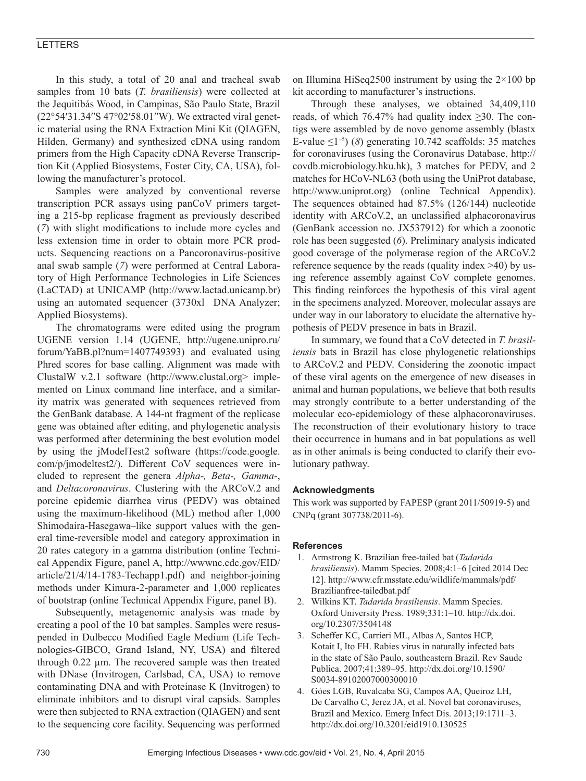### LETTERS

In this study, a total of 20 anal and tracheal swab samples from 10 bats (*T. brasiliensis*) were collected at the Jequitibás Wood, in Campinas, São Paulo State, Brazil (22°54′31.34′′S 47°02′58.01′′W). We extracted viral genetic material using the RNA Extraction Mini Kit (QIAGEN, Hilden, Germany) and synthesized cDNA using random primers from the High Capacity cDNA Reverse Transcription Kit (Applied Biosystems, Foster City, CA, USA), following the manufacturer's protocol.

Samples were analyzed by conventional reverse transcription PCR assays using panCoV primers targeting a 215-bp replicase fragment as previously described (*7*) with slight modifications to include more cycles and less extension time in order to obtain more PCR products. Sequencing reactions on a Pancoronavirus-positive anal swab sample (*7*) were performed at Central Laboratory of High Performance Technologies in Life Sciences (LaCTAD) at UNICAMP (http://www.lactad.unicamp.br) using an automated sequencer (3730xl DNA Analyzer; Applied Biosystems).

The chromatograms were edited using the program UGENE version 1.14 (UGENE, http://ugene.unipro.ru/ forum/YaBB.pl?num=1407749393) and evaluated using Phred scores for base calling. Alignment was made with ClustalW v.2.1 software (http://www.clustal.org> implemented on Linux command line interface, and a similarity matrix was generated with sequences retrieved from the GenBank database. A 144-nt fragment of the replicase gene was obtained after editing, and phylogenetic analysis was performed after determining the best evolution model by using the jModelTest2 software (https://code.google. com/p/jmodeltest2/). Different CoV sequences were included to represent the genera *Alpha-, Beta-, Gamma-*, and *Deltacoronavirus*. Clustering with the ARCoV.2 and porcine epidemic diarrhea virus (PEDV) was obtained using the maximum-likelihood (ML) method after 1,000 Shimodaira-Hasegawa–like support values with the general time-reversible model and category approximation in 20 rates category in a gamma distribution (online Technical Appendix Figure, panel A, http://wwwnc.cdc.gov/EID/ article/21/4/14-1783-Techapp1.pdf) and neighbor-joining methods under Kimura-2-parameter and 1,000 replicates of bootstrap (online Technical Appendix Figure, panel B).

Subsequently, metagenomic analysis was made by creating a pool of the 10 bat samples. Samples were resuspended in Dulbecco Modified Eagle Medium (Life Technologies-GIBCO, Grand Island, NY, USA) and filtered through 0.22 µm. The recovered sample was then treated with DNase (Invitrogen, Carlsbad, CA, USA) to remove contaminating DNA and with Proteinase K (Invitrogen) to eliminate inhibitors and to disrupt viral capsids. Samples were then subjected to RNA extraction (QIAGEN) and sent to the sequencing core facility. Sequencing was performed on Illumina HiSeq2500 instrument by using the  $2\times100$  bp kit according to manufacturer's instructions.

Through these analyses, we obtained 34,409,110 reads, of which 76.47% had quality index  $\geq 30$ . The contigs were assembled by de novo genome assembly (blastx E-value  $\leq 1^{-5}$  (*8*) generating 10.742 scaffolds: 35 matches for coronaviruses (using the Coronavirus Database, http:// covdb.microbiology.hku.hk), 3 matches for PEDV, and 2 matches for HCoV-NL63 (both using the UniProt database, http://www.uniprot.org) (online Technical Appendix). The sequences obtained had 87.5% (126/144) nucleotide identity with ARCoV.2, an unclassified alphacoronavirus (GenBank accession no. JX537912) for which a zoonotic role has been suggested (*6*). Preliminary analysis indicated good coverage of the polymerase region of the ARCoV.2 reference sequence by the reads (quality index >40) by using reference assembly against CoV complete genomes. This finding reinforces the hypothesis of this viral agent in the specimens analyzed. Moreover, molecular assays are under way in our laboratory to elucidate the alternative hypothesis of PEDV presence in bats in Brazil.

In summary, we found that a CoV detected in *T. brasiliensis* bats in Brazil has close phylogenetic relationships to ARCoV.2 and PEDV. Considering the zoonotic impact of these viral agents on the emergence of new diseases in animal and human populations, we believe that both results may strongly contribute to a better understanding of the molecular eco-epidemiology of these alphacoronaviruses. The reconstruction of their evolutionary history to trace their occurrence in humans and in bat populations as well as in other animals is being conducted to clarify their evolutionary pathway.

#### **Acknowledgments**

This work was supported by FAPESP (grant 2011/50919-5) and CNPq (grant 307738/2011-6).

### **References**

- 1. Armstrong K. Brazilian free-tailed bat (*Tadarida brasiliensis*). Mamm Species. 2008;4:1–6 [cited 2014 Dec 12]. http://www.cfr.msstate.edu/wildlife/mammals/pdf/ Brazilianfree-tailedbat.pdf
- 2. Wilkins KT. *Tadarida brasiliensis*. Mamm Species. Oxford University Press. 1989;331:1–10. http://dx.doi. org/10.2307/3504148
- 3. Scheffer KC, Carrieri ML, Albas A, Santos HCP, Kotait I, Ito FH. Rabies virus in naturally infected bats in the state of São Paulo, southeastern Brazil. Rev Saude Publica. 2007;41:389–95. http://dx.doi.org/10.1590/ S0034-89102007000300010
- 4. Góes LGB, Ruvalcaba SG, Campos AA, Queiroz LH, De Carvalho C, Jerez JA, et al. Novel bat coronaviruses, Brazil and Mexico. Emerg Infect Dis. 2013;19:1711–3. http://dx.doi.org/10.3201/eid1910.130525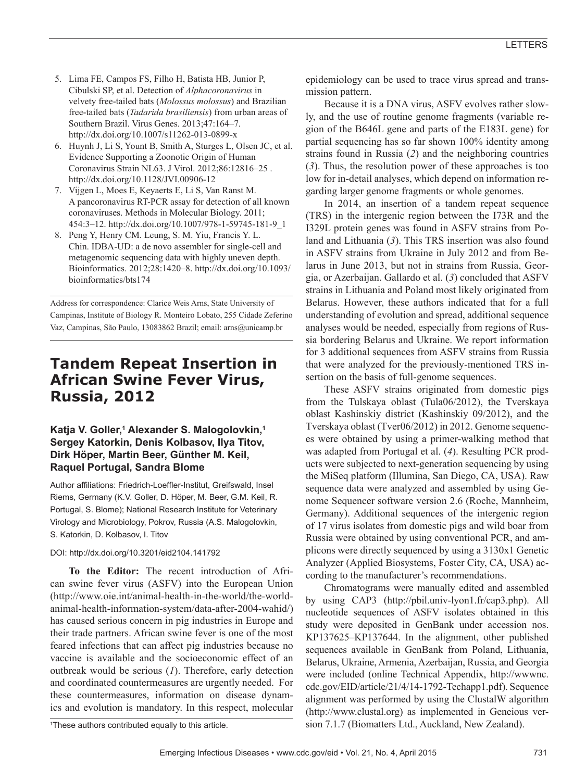- 5. Lima FE, Campos FS, Filho H, Batista HB, Junior P, Cibulski SP, et al. Detection of *Alphacoronavirus* in velvety free-tailed bats (*Molossus molossus*) and Brazilian free-tailed bats (*Tadarida brasiliensis*) from urban areas of Southern Brazil. Virus Genes. 2013;47:164–7. http://dx.doi.org/10.1007/s11262-013-0899-x
- 6. Huynh J, Li S, Yount B, Smith A, Sturges L, Olsen JC, et al. Evidence Supporting a Zoonotic Origin of Human Coronavirus Strain NL63. J Virol. 2012;86:12816–25 . http://dx.doi.org/10.1128/JVI.00906-12
- 7. Vijgen L, Moes E, Keyaerts E, Li S, Van Ranst M. A pancoronavirus RT-PCR assay for detection of all known coronaviruses. Methods in Molecular Biology. 2011; 454:3–12. http://dx.doi.org/10.1007/978-1-59745-181-9\_1
- 8. Peng Y, Henry CM. Leung, S. M. Yiu, Francis Y. L. Chin. IDBA-UD: a de novo assembler for single-cell and metagenomic sequencing data with highly uneven depth. Bioinformatics. 2012;28:1420–8. http://dx.doi.org/10.1093/ bioinformatics/bts174

Address for correspondence: Clarice Weis Arns, State University of Campinas, Institute of Biology R. Monteiro Lobato, 255 Cidade Zeferino Vaz, Campinas, São Paulo, 13083862 Brazil; email: arns@unicamp.br

### **Tandem Repeat Insertion in African Swine Fever Virus, Russia, 2012**

### **Katja V. Goller,1 Alexander S. Malogolovkin,1 Sergey Katorkin, Denis Kolbasov, Ilya Titov, Dirk Höper, Martin Beer, Günther M. Keil, Raquel Portugal, Sandra Blome**

Author affiliations: Friedrich-Loeffler-Institut, Greifswald, Insel Riems, Germany (K.V. Goller, D. Höper, M. Beer, G.M. Keil, R. Portugal, S. Blome); National Research Institute for Veterinary Virology and Microbiology, Pokrov, Russia (A.S. Malogolovkin, S. Katorkin, D. Kolbasov, I. Titov

### DOI: http://dx.doi.org/10.3201/eid2104.141792

**To the Editor:** The recent introduction of African swine fever virus (ASFV) into the European Union (http://www.oie.int/animal-health-in-the-world/the-worldanimal-health-information-system/data-after-2004-wahid/) has caused serious concern in pig industries in Europe and their trade partners. African swine fever is one of the most feared infections that can affect pig industries because no vaccine is available and the socioeconomic effect of an outbreak would be serious (*1*). Therefore, early detection and coordinated countermeasures are urgently needed. For these countermeasures, information on disease dynamics and evolution is mandatory. In this respect, molecular

epidemiology can be used to trace virus spread and transmission pattern.

Because it is a DNA virus, ASFV evolves rather slowly, and the use of routine genome fragments (variable region of the B646L gene and parts of the E183L gene) for partial sequencing has so far shown 100% identity among strains found in Russia (*2*) and the neighboring countries (*3*). Thus, the resolution power of these approaches is too low for in-detail analyses, which depend on information regarding larger genome fragments or whole genomes.

In 2014, an insertion of a tandem repeat sequence (TRS) in the intergenic region between the I73R and the I329L protein genes was found in ASFV strains from Poland and Lithuania (*3*). This TRS insertion was also found in ASFV strains from Ukraine in July 2012 and from Belarus in June 2013, but not in strains from Russia, Georgia, or Azerbaijan. Gallardo et al. (*3*) concluded that ASFV strains in Lithuania and Poland most likely originated from Belarus. However, these authors indicated that for a full understanding of evolution and spread, additional sequence analyses would be needed, especially from regions of Russia bordering Belarus and Ukraine. We report information for 3 additional sequences from ASFV strains from Russia that were analyzed for the previously-mentioned TRS insertion on the basis of full-genome sequences.

These ASFV strains originated from domestic pigs from the Tulskaya oblast (Tula06/2012), the Tverskaya oblast Kashinskiy district (Kashinskiy 09/2012), and the Tverskaya oblast (Tver06/2012) in 2012. Genome sequences were obtained by using a primer-walking method that was adapted from Portugal et al. (*4*). Resulting PCR products were subjected to next-generation sequencing by using the MiSeq platform (Illumina, San Diego, CA, USA). Raw sequence data were analyzed and assembled by using Genome Sequencer software version 2.6 (Roche, Mannheim, Germany). Additional sequences of the intergenic region of 17 virus isolates from domestic pigs and wild boar from Russia were obtained by using conventional PCR, and amplicons were directly sequenced by using a 3130x1 Genetic Analyzer (Applied Biosystems, Foster City, CA, USA) according to the manufacturer's recommendations.

Chromatograms were manually edited and assembled by using CAP3 (http://pbil.univ-lyon1.fr/cap3.php). All nucleotide sequences of ASFV isolates obtained in this study were deposited in GenBank under accession nos. KP137625–KP137644. In the alignment, other published sequences available in GenBank from Poland, Lithuania, Belarus, Ukraine, Armenia, Azerbaijan, Russia, and Georgia were included (online Technical Appendix, http://wwwnc. cdc.gov/EID/article/21/4/14-1792-Techapp1.pdf). Sequence alignment was performed by using the ClustalW algorithm (http://www.clustal.org) as implemented in Geneious version 7.1.7 (Biomatters Ltd., Auckland, New Zealand).

<sup>1</sup> These authors contributed equally to this article.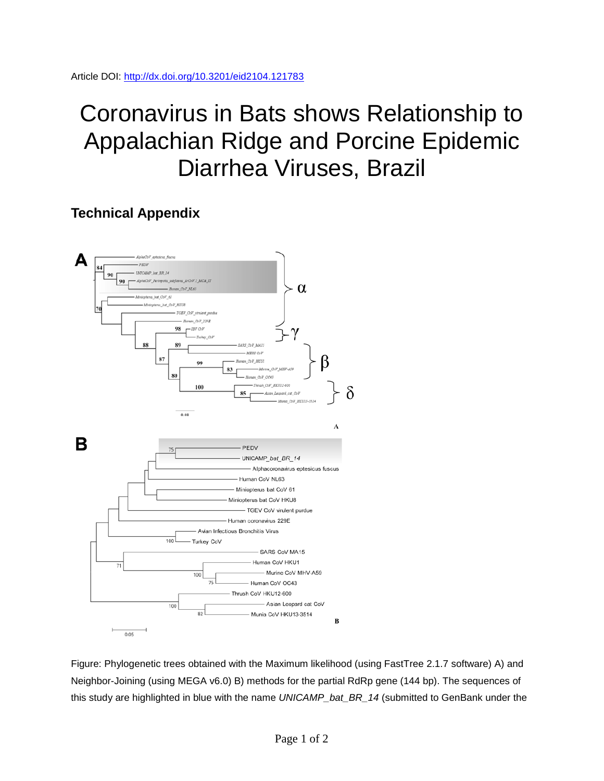# Coronavirus in Bats shows Relationship to Appalachian Ridge and Porcine Epidemic Diarrhea Viruses, Brazil

## **Technical Appendix**



Figure: Phylogenetic trees obtained with the Maximum likelihood (using FastTree 2.1.7 software) A) and Neighbor-Joining (using MEGA v6.0) B) methods for the partial RdRp gene (144 bp). The sequences of this study are highlighted in blue with the name *UNICAMP\_bat\_BR\_14* (submitted to GenBank under the